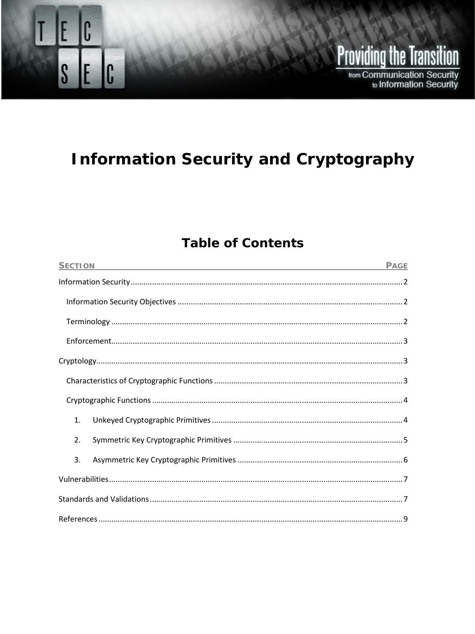# **Information Security and Cryptography**

**Providing the Transition** 

from Communication Security to Information Security

C

 $S$   $E$   $C$ 

E

# **Table of Contents**

| <b>SECTION</b><br>the control of the control of the control of the control of the control of the control of the control of the control of the control of the control of the control of the control of the control of the control of the control | <b>PAGE</b> |
|-------------------------------------------------------------------------------------------------------------------------------------------------------------------------------------------------------------------------------------------------|-------------|
|                                                                                                                                                                                                                                                 |             |
|                                                                                                                                                                                                                                                 |             |
|                                                                                                                                                                                                                                                 |             |
|                                                                                                                                                                                                                                                 |             |
|                                                                                                                                                                                                                                                 |             |
|                                                                                                                                                                                                                                                 |             |
|                                                                                                                                                                                                                                                 |             |
| 1.                                                                                                                                                                                                                                              |             |
| 2.                                                                                                                                                                                                                                              |             |
| 3.                                                                                                                                                                                                                                              |             |
|                                                                                                                                                                                                                                                 |             |
|                                                                                                                                                                                                                                                 |             |
|                                                                                                                                                                                                                                                 |             |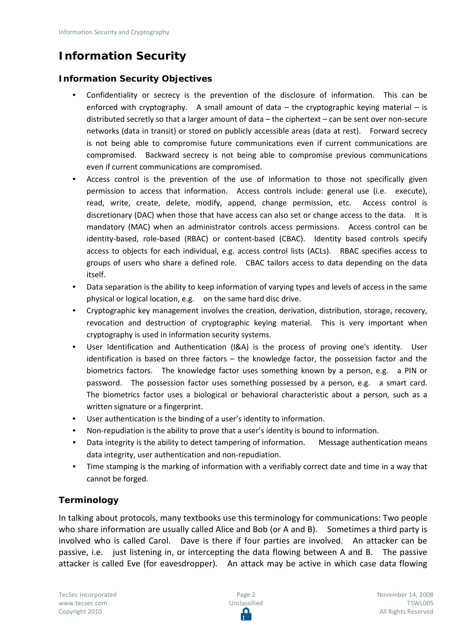# <span id="page-1-0"></span>**Information Security**

#### <span id="page-1-1"></span>**Information Security Objectives**

- Confidentiality or secrecy is the prevention of the disclosure of information. This can be enforced with cryptography. A small amount of data  $-$  the cryptographic keying material  $-$  is distributed secretly so that a larger amount of data – the ciphertext – can be sent over non-secure networks (data in transit) or stored on publicly accessible areas (data at rest). Forward secrecy is not being able to compromise future communications even if current communications are compromised. Backward secrecy is not being able to compromise previous communications even if current communications are compromised.
- Access control is the prevention of the use of information to those not specifically given permission to access that information. Access controls include: general use (i.e. execute), read, write, create, delete, modify, append, change permission, etc. Access control is discretionary (DAC) when those that have access can also set or change access to the data. It is mandatory (MAC) when an administrator controls access permissions. Access control can be identity-based, role-based (RBAC) or content-based (CBAC). Identity based controls specify access to objects for each individual, e.g. access control lists (ACLs). RBAC specifies access to groups of users who share a defined role. CBAC tailors access to data depending on the data itself.
- Data separation is the ability to keep information of varying types and levels of access in the same physical or logical location, e.g. on the same hard disc drive.
- Cryptographic key management involves the creation, derivation, distribution, storage, recovery, revocation and destruction of cryptographic keying material. This is very important when cryptography is used in information security systems.
- User Identification and Authentication (I&A) is the process of proving one's identity. User identification is based on three factors – the knowledge factor, the possession factor and the biometrics factors. The knowledge factor uses something known by a person, e.g. a PIN or password. The possession factor uses something possessed by a person, e.g. a smart card. The biometrics factor uses a biological or behavioral characteristic about a person, such as a written signature or a fingerprint.
- User authentication is the binding of a user's identity to information.
- Non-repudiation is the ability to prove that a user's identity is bound to information.
- Data integrity is the ability to detect tampering of information. Message authentication means data integrity, user authentication and non-repudiation.
- Time stamping is the marking of information with a verifiably correct date and time in a way that cannot be forged.

#### <span id="page-1-2"></span>**Terminology**

In talking about protocols, many textbooks use this terminology for communications: Two people who share information are usually called Alice and Bob (or A and B). Sometimes a third party is involved who is called Carol. Dave is there if four parties are involved. An attacker can be passive, i.e. just listening in, or intercepting the data flowing between A and B. The passive attacker is called Eve (for eavesdropper). An attack may be active in which case data flowing

TecSec Incorporated [www.tecsec.com](http://www.tecsec.com/) Copyright 2010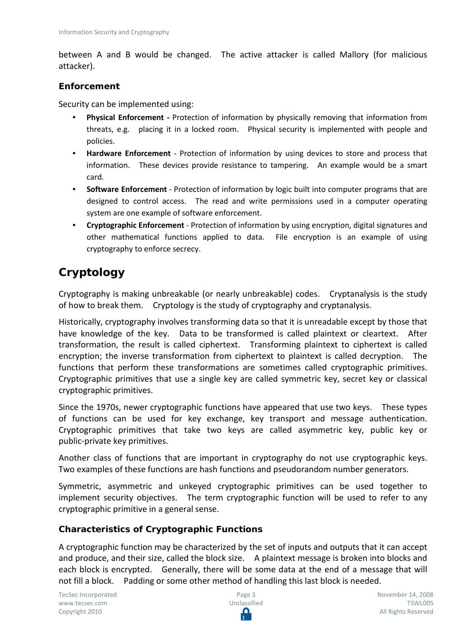between A and B would be changed. The active attacker is called Mallory (for malicious attacker).

#### <span id="page-2-0"></span>**Enforcement**

Security can be implemented using:

- **Physical Enforcement -** Protection of information by physically removing that information from threats, e.g. placing it in a locked room. Physical security is implemented with people and policies.
- **Hardware Enforcement** Protection of information by using devices to store and process that information. These devices provide resistance to tampering. An example would be a smart card.
- **Software Enforcement** Protection of information by logic built into computer programs that are designed to control access. The read and write permissions used in a computer operating system are one example of software enforcement.
- **Cryptographic Enforcement** Protection of information by using encryption, digital signatures and other mathematical functions applied to data. File encryption is an example of using cryptography to enforce secrecy.

## <span id="page-2-1"></span>**Cryptology**

Cryptography is making unbreakable (or nearly unbreakable) codes. Cryptanalysis is the study of how to break them. Cryptology is the study of cryptography and cryptanalysis.

Historically, cryptography involves transforming data so that it is unreadable except by those that have knowledge of the key. Data to be transformed is called plaintext or cleartext. After transformation, the result is called ciphertext. Transforming plaintext to ciphertext is called encryption; the inverse transformation from ciphertext to plaintext is called decryption. The functions that perform these transformations are sometimes called cryptographic primitives. Cryptographic primitives that use a single key are called symmetric key, secret key or classical cryptographic primitives.

Since the 1970s, newer cryptographic functions have appeared that use two keys. These types of functions can be used for key exchange, key transport and message authentication. Cryptographic primitives that take two keys are called asymmetric key, public key or public-private key primitives.

Another class of functions that are important in cryptography do not use cryptographic keys. Two examples of these functions are hash functions and pseudorandom number generators.

Symmetric, asymmetric and unkeyed cryptographic primitives can be used together to implement security objectives. The term cryptographic function will be used to refer to any cryptographic primitive in a general sense.

#### <span id="page-2-2"></span>**Characteristics of Cryptographic Functions**

A cryptographic function may be characterized by the set of inputs and outputs that it can accept and produce, and their size, called the block size. A plaintext message is broken into blocks and each block is encrypted. Generally, there will be some data at the end of a message that will not fill a block. Padding or some other method of handling this last block is needed.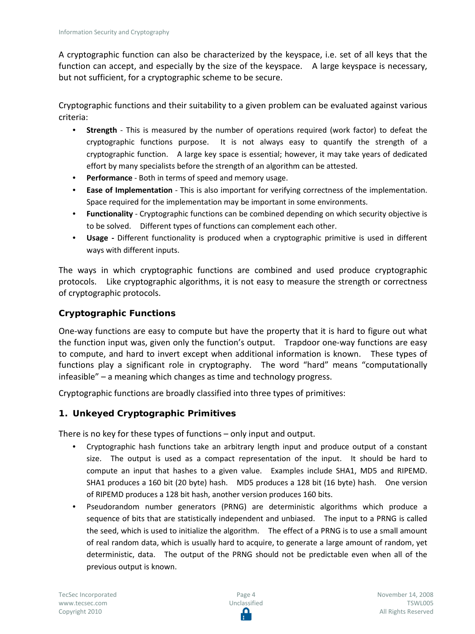A cryptographic function can also be characterized by the keyspace, i.e. set of all keys that the function can accept, and especially by the size of the keyspace. A large keyspace is necessary, but not sufficient, for a cryptographic scheme to be secure.

Cryptographic functions and their suitability to a given problem can be evaluated against various criteria:

- **Strength** This is measured by the number of operations required (work factor) to defeat the cryptographic functions purpose. It is not always easy to quantify the strength of a cryptographic function. A large key space is essential; however, it may take years of dedicated effort by many specialists before the strength of an algorithm can be attested.
- **Performance** Both in terms of speed and memory usage.
- **Ease of Implementation** This is also important for verifying correctness of the implementation. Space required for the implementation may be important in some environments.
- **Functionality** Cryptographic functions can be combined depending on which security objective is to be solved. Different types of functions can complement each other.
- **Usage -** Different functionality is produced when a cryptographic primitive is used in different ways with different inputs.

The ways in which cryptographic functions are combined and used produce cryptographic protocols. Like cryptographic algorithms, it is not easy to measure the strength or correctness of cryptographic protocols.

#### <span id="page-3-0"></span>**Cryptographic Functions**

One-way functions are easy to compute but have the property that it is hard to figure out what the function input was, given only the function's output. Trapdoor one-way functions are easy to compute, and hard to invert except when additional information is known. These types of functions play a significant role in cryptography. The word "hard" means "computationally infeasible" – a meaning which changes as time and technology progress.

Cryptographic functions are broadly classified into three types of primitives:

#### <span id="page-3-1"></span>**1. Unkeyed Cryptographic Primitives**

There is no key for these types of functions – only input and output.

- Cryptographic hash functions take an arbitrary length input and produce output of a constant size. The output is used as a compact representation of the input. It should be hard to compute an input that hashes to a given value. Examples include SHA1, MD5 and RIPEMD. SHA1 produces a 160 bit (20 byte) hash. MD5 produces a 128 bit (16 byte) hash. One version of RIPEMD produces a 128 bit hash, another version produces 160 bits.
- Pseudorandom number generators (PRNG) are deterministic algorithms which produce a sequence of bits that are statistically independent and unbiased. The input to a PRNG is called the seed, which is used to initialize the algorithm. The effect of a PRNG is to use a small amount of real random data, which is usually hard to acquire, to generate a large amount of random, yet deterministic, data. The output of the PRNG should not be predictable even when all of the previous output is known.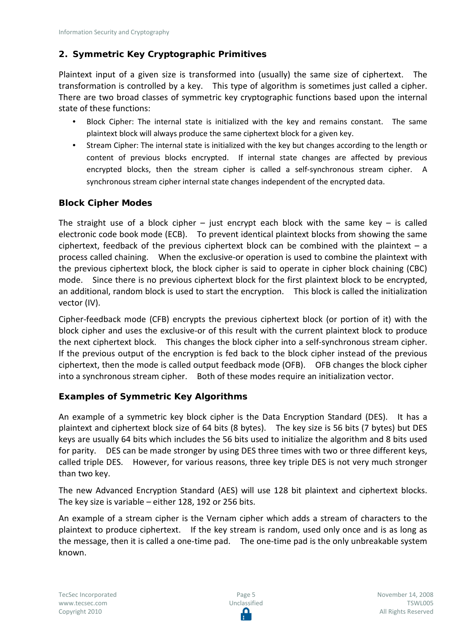#### <span id="page-4-0"></span>**2. Symmetric Key Cryptographic Primitives**

Plaintext input of a given size is transformed into (usually) the same size of ciphertext. The transformation is controlled by a key. This type of algorithm is sometimes just called a cipher. There are two broad classes of symmetric key cryptographic functions based upon the internal state of these functions:

- Block Cipher: The internal state is initialized with the key and remains constant. The same plaintext block will always produce the same ciphertext block for a given key.
- Stream Cipher: The internal state is initialized with the key but changes according to the length or content of previous blocks encrypted. If internal state changes are affected by previous encrypted blocks, then the stream cipher is called a self-synchronous stream cipher. A synchronous stream cipher internal state changes independent of the encrypted data.

#### **Block Cipher Modes**

The straight use of a block cipher – just encrypt each block with the same key – is called electronic code book mode (ECB). To prevent identical plaintext blocks from showing the same ciphertext, feedback of the previous ciphertext block can be combined with the plaintext  $- a$ process called chaining. When the exclusive-or operation is used to combine the plaintext with the previous ciphertext block, the block cipher is said to operate in cipher block chaining (CBC) mode. Since there is no previous ciphertext block for the first plaintext block to be encrypted, an additional, random block is used to start the encryption. This block is called the initialization vector (IV).

Cipher-feedback mode (CFB) encrypts the previous ciphertext block (or portion of it) with the block cipher and uses the exclusive-or of this result with the current plaintext block to produce the next ciphertext block. This changes the block cipher into a self-synchronous stream cipher. If the previous output of the encryption is fed back to the block cipher instead of the previous ciphertext, then the mode is called output feedback mode (OFB). OFB changes the block cipher into a synchronous stream cipher. Both of these modes require an initialization vector.

#### **Examples of Symmetric Key Algorithms**

An example of a symmetric key block cipher is the Data Encryption Standard (DES). It has a plaintext and ciphertext block size of 64 bits (8 bytes). The key size is 56 bits (7 bytes) but DES keys are usually 64 bits which includes the 56 bits used to initialize the algorithm and 8 bits used for parity. DES can be made stronger by using DES three times with two or three different keys, called triple DES. However, for various reasons, three key triple DES is not very much stronger than two key.

The new Advanced Encryption Standard (AES) will use 128 bit plaintext and ciphertext blocks. The key size is variable – either 128, 192 or 256 bits.

An example of a stream cipher is the Vernam cipher which adds a stream of characters to the plaintext to produce ciphertext. If the key stream is random, used only once and is as long as the message, then it is called a one-time pad. The one-time pad is the only unbreakable system known.

Page 5 Unclassified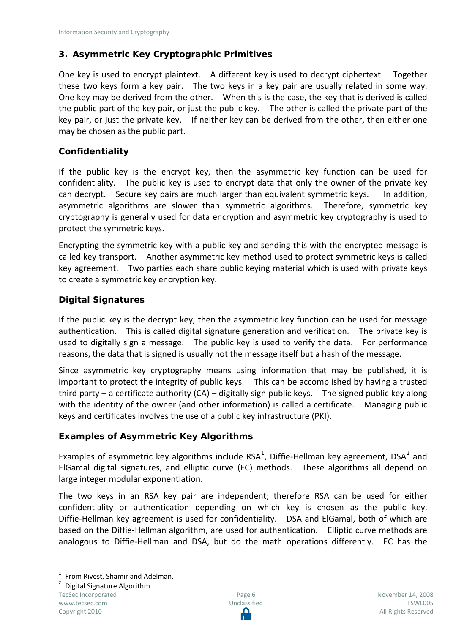#### <span id="page-5-0"></span>**3. Asymmetric Key Cryptographic Primitives**

One key is used to encrypt plaintext. A different key is used to decrypt ciphertext. Together these two keys form a key pair. The two keys in a key pair are usually related in some way. One key may be derived from the other. When this is the case, the key that is derived is called the public part of the key pair, or just the public key. The other is called the private part of the key pair, or just the private key. If neither key can be derived from the other, then either one may be chosen as the public part.

#### **Confidentiality**

If the public key is the encrypt key, then the asymmetric key function can be used for confidentiality. The public key is used to encrypt data that only the owner of the private key can decrypt. Secure key pairs are much larger than equivalent symmetric keys. In addition, asymmetric algorithms are slower than symmetric algorithms. Therefore, symmetric key cryptography is generally used for data encryption and asymmetric key cryptography is used to protect the symmetric keys.

Encrypting the symmetric key with a public key and sending this with the encrypted message is called key transport. Another asymmetric key method used to protect symmetric keys is called key agreement. Two parties each share public keying material which is used with private keys to create a symmetric key encryption key.

#### **Digital Signatures**

If the public key is the decrypt key, then the asymmetric key function can be used for message authentication. This is called digital signature generation and verification. The private key is used to digitally sign a message. The public key is used to verify the data. For performance reasons, the data that is signed is usually not the message itself but a hash of the message.

Since asymmetric key cryptography means using information that may be published, it is important to protect the integrity of public keys. This can be accomplished by having a trusted third party – a certificate authority  $(CA)$  – digitally sign public keys. The signed public key along with the identity of the owner (and other information) is called a certificate. Managing public keys and certificates involves the use of a public key infrastructure (PKI).

#### **Examples of Asymmetric Key Algorithms**

Examples of asymmetric key algorithms include RSA<sup>[1](#page-5-1)</sup>, Diffie-Hellman key agreement, DSA<sup>[2](#page-5-2)</sup> and ElGamal digital signatures, and elliptic curve (EC) methods. These algorithms all depend on large integer modular exponentiation.

The two keys in an RSA key pair are independent; therefore RSA can be used for either confidentiality or authentication depending on which key is chosen as the public key. Diffie-Hellman key agreement is used for confidentiality. DSA and ElGamal, both of which are based on the Diffie-Hellman algorithm, are used for authentication. Elliptic curve methods are analogous to Diffie-Hellman and DSA, but do the math operations differently. EC has the

<span id="page-5-2"></span>TecSec Incorporated [www.tecsec.com](http://www.tecsec.com/) Copyright 2010

<span id="page-5-1"></span><sup>&</sup>lt;sup>1</sup> From Rivest, Shamir and Adelman.<br><sup>2</sup> Digital Signature Algorithm.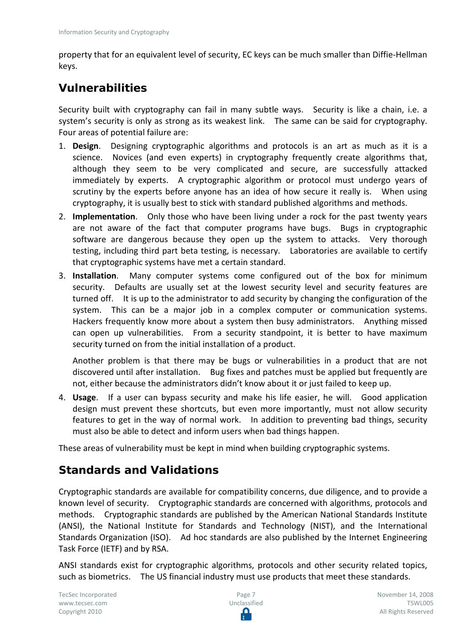property that for an equivalent level of security, EC keys can be much smaller than Diffie-Hellman keys.

## <span id="page-6-0"></span>**Vulnerabilities**

Security built with cryptography can fail in many subtle ways. Security is like a chain, i.e. a system's security is only as strong as its weakest link. The same can be said for cryptography. Four areas of potential failure are:

- 1. **Design**. Designing cryptographic algorithms and protocols is an art as much as it is a science. Novices (and even experts) in cryptography frequently create algorithms that, although they seem to be very complicated and secure, are successfully attacked immediately by experts. A cryptographic algorithm or protocol must undergo years of scrutiny by the experts before anyone has an idea of how secure it really is. When using cryptography, it is usually best to stick with standard published algorithms and methods.
- 2. **Implementation**. Only those who have been living under a rock for the past twenty years are not aware of the fact that computer programs have bugs. Bugs in cryptographic software are dangerous because they open up the system to attacks. Very thorough testing, including third part beta testing, is necessary. Laboratories are available to certify that cryptographic systems have met a certain standard.
- 3. **Installation**. Many computer systems come configured out of the box for minimum security. Defaults are usually set at the lowest security level and security features are turned off. It is up to the administrator to add security by changing the configuration of the system. This can be a major job in a complex computer or communication systems. Hackers frequently know more about a system then busy administrators. Anything missed can open up vulnerabilities. From a security standpoint, it is better to have maximum security turned on from the initial installation of a product.

Another problem is that there may be bugs or vulnerabilities in a product that are not discovered until after installation. Bug fixes and patches must be applied but frequently are not, either because the administrators didn't know about it or just failed to keep up.

4. **Usage**. If a user can bypass security and make his life easier, he will. Good application design must prevent these shortcuts, but even more importantly, must not allow security features to get in the way of normal work. In addition to preventing bad things, security must also be able to detect and inform users when bad things happen.

These areas of vulnerability must be kept in mind when building cryptographic systems.

## <span id="page-6-1"></span>**Standards and Validations**

Cryptographic standards are available for compatibility concerns, due diligence, and to provide a known level of security. Cryptographic standards are concerned with algorithms, protocols and methods. Cryptographic standards are published by the American National Standards Institute (ANSI), the National Institute for Standards and Technology (NIST), and the International Standards Organization (ISO). Ad hoc standards are also published by the Internet Engineering Task Force (IETF) and by RSA.

ANSI standards exist for cryptographic algorithms, protocols and other security related topics, such as biometrics. The US financial industry must use products that meet these standards.

TecSec Incorporated [www.tecsec.com](http://www.tecsec.com/) Copyright 2010



November 14, 2008 TSWL005 All Rights Reserved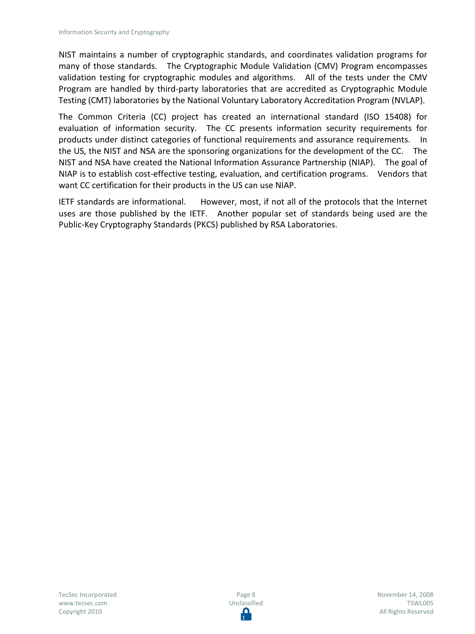NIST maintains a number of cryptographic standards, and coordinates validation programs for many of those standards. The Cryptographic Module Validation (CMV) Program encompasses validation testing for cryptographic modules and algorithms. All of the tests under the CMV Program are handled by third-party laboratories that are accredited as Cryptographic Module Testing (CMT) laboratories by the National Voluntary Laboratory Accreditation Program (NVLAP).

The Common Criteria (CC) project has created an international standard (ISO 15408) for evaluation of information security. The CC presents information security requirements for products under distinct categories of functional requirements and assurance requirements. In the US, the NIST and NSA are the sponsoring organizations for the development of the CC. The NIST and NSA have created the National Information Assurance Partnership (NIAP). The goal of NIAP is to establish cost-effective testing, evaluation, and certification programs. Vendors that want CC certification for their products in the US can use NIAP.

IETF standards are informational. However, most, if not all of the protocols that the Internet uses are those published by the IETF. Another popular set of standards being used are the Public-Key Cryptography Standards (PKCS) published by RSA Laboratories.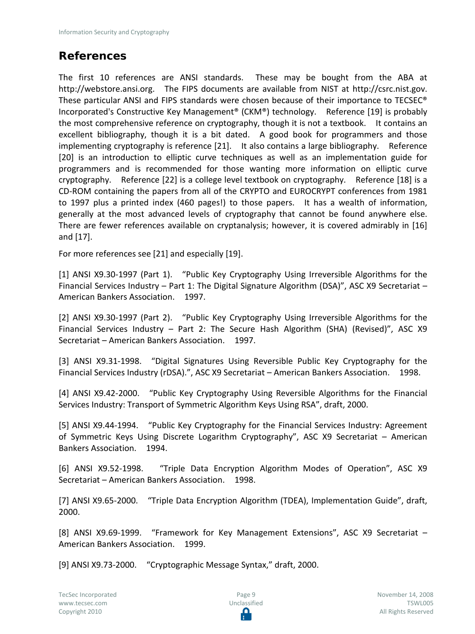## <span id="page-8-0"></span>**References**

The first 10 references are ANSI standards. These may be bought from the ABA at http://webstore.ansi.org. The FIPS documents are available from NIST at http://csrc.nist.gov. These particular ANSI and FIPS standards were chosen because of their importance to TECSEC® Incorporated's Constructive Key Management® (CKM®) technology. Reference [19] is probably the most comprehensive reference on cryptography, though it is not a textbook. It contains an excellent bibliography, though it is a bit dated. A good book for programmers and those implementing cryptography is reference [21]. It also contains a large bibliography. Reference [20] is an introduction to elliptic curve techniques as well as an implementation guide for programmers and is recommended for those wanting more information on elliptic curve cryptography. Reference [22] is a college level textbook on cryptography. Reference [18] is a CD-ROM containing the papers from all of the CRYPTO and EUROCRYPT conferences from 1981 to 1997 plus a printed index (460 pages!) to those papers. It has a wealth of information, generally at the most advanced levels of cryptography that cannot be found anywhere else. There are fewer references available on cryptanalysis; however, it is covered admirably in [16] and [17].

For more references see [21] and especially [19].

[1] ANSI X9.30-1997 (Part 1). "Public Key Cryptography Using Irreversible Algorithms for the Financial Services Industry – Part 1: The Digital Signature Algorithm (DSA)", ASC X9 Secretariat – American Bankers Association. 1997.

[2] ANSI X9.30-1997 (Part 2). "Public Key Cryptography Using Irreversible Algorithms for the Financial Services Industry – Part 2: The Secure Hash Algorithm (SHA) (Revised)", ASC X9 Secretariat – American Bankers Association. 1997.

[3] ANSI X9.31-1998. "Digital Signatures Using Reversible Public Key Cryptography for the Financial Services Industry (rDSA).", ASC X9 Secretariat – American Bankers Association. 1998.

[4] ANSI X9.42-2000. "Public Key Cryptography Using Reversible Algorithms for the Financial Services Industry: Transport of Symmetric Algorithm Keys Using RSA", draft, 2000.

[5] ANSI X9.44-1994. "Public Key Cryptography for the Financial Services Industry: Agreement of Symmetric Keys Using Discrete Logarithm Cryptography", ASC X9 Secretariat – American Bankers Association. 1994.

[6] ANSI X9.52-1998. "Triple Data Encryption Algorithm Modes of Operation", ASC X9 Secretariat – American Bankers Association. 1998.

[7] ANSI X9.65-2000. "Triple Data Encryption Algorithm (TDEA), Implementation Guide", draft, 2000.

[8] ANSI X9.69-1999. "Framework for Key Management Extensions", ASC X9 Secretariat – American Bankers Association. 1999.

[9] ANSI X9.73-2000. "Cryptographic Message Syntax," draft, 2000.